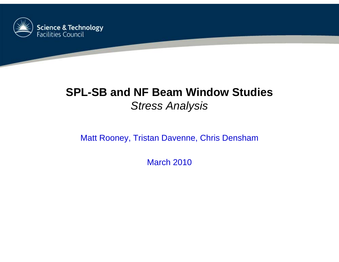

# **SPL-SB and NF Beam Window Studies** *Stress Analysis*

#### Matt Rooney, Tristan Davenne, Chris Densham

March 2010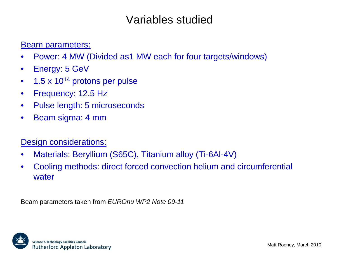### Variables studied

#### **Beam parameters:**

- •Power: 4 MW (Divided as1 MW each for four targets/windows)
- $\bullet$ Energy: 5 GeV
- $\bullet$ 1.5 x 1014 protons per pulse
- $\bullet$ Frequency: 12.5 Hz
- $\bullet$ Pulse length: 5 microseconds
- $\bullet$ Beam sigma: 4 mm

#### Design considerations:

- •Materials: Beryllium (S65C), Titanium alloy (Ti-6Al-4V)
- $\bullet$  Cooling methods: direct forced convection helium and circumferential water

Beam parameters taken from *EUROnu WP2 Note 09-11*

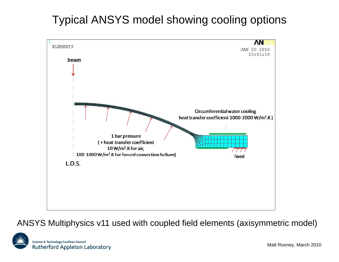# Typical ANSYS model showing cooling options



ANSYS Multiphysics v11 used with coupled field elements (axisymmetric model)

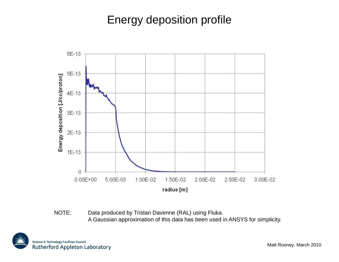## Energy deposition profile



NOTE: Data produced by Tristan Davenne (RAL) using Fluka. A Gaussian approximation of this data has been used in ANSYS for simplicity.

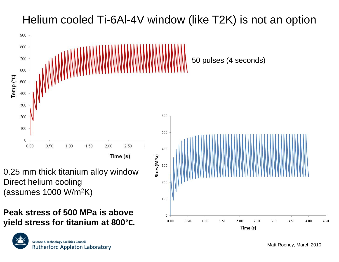# Helium cooled Ti-6Al-4V window (like T2K) is not an option



0.25 mm thick titanium alloy window Direct helium cooling (assumes 1000 W/m 2K)

#### **Peak stress of 500 MPa is above yield stress for titanium at 800°C.**



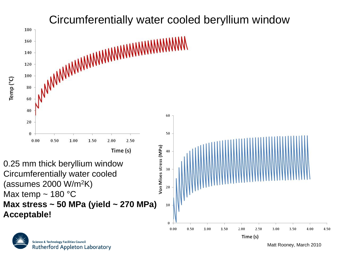

**Science & Technology Facilities Council Rutherford Appleton Laboratory**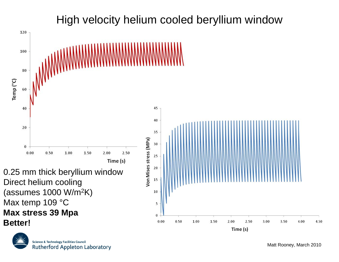

### High velocity helium cooled beryllium window

**Science & Technology Facilities Council Rutherford Appleton Laboratory**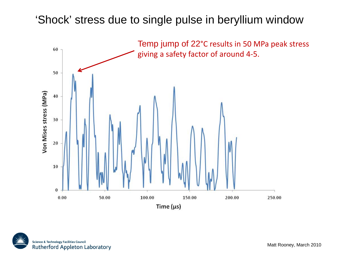### 'Shock' stress due to single pulse in beryllium window



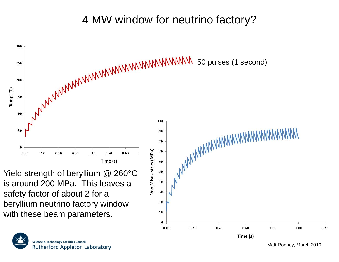# 4 MW window for neutrino factory?



 $0.00$ 

 $0.20$ 

 $0.40$ 

0.60

Time (s)



Matt Rooney, March 2010

1.00

1.20

 $0.80$